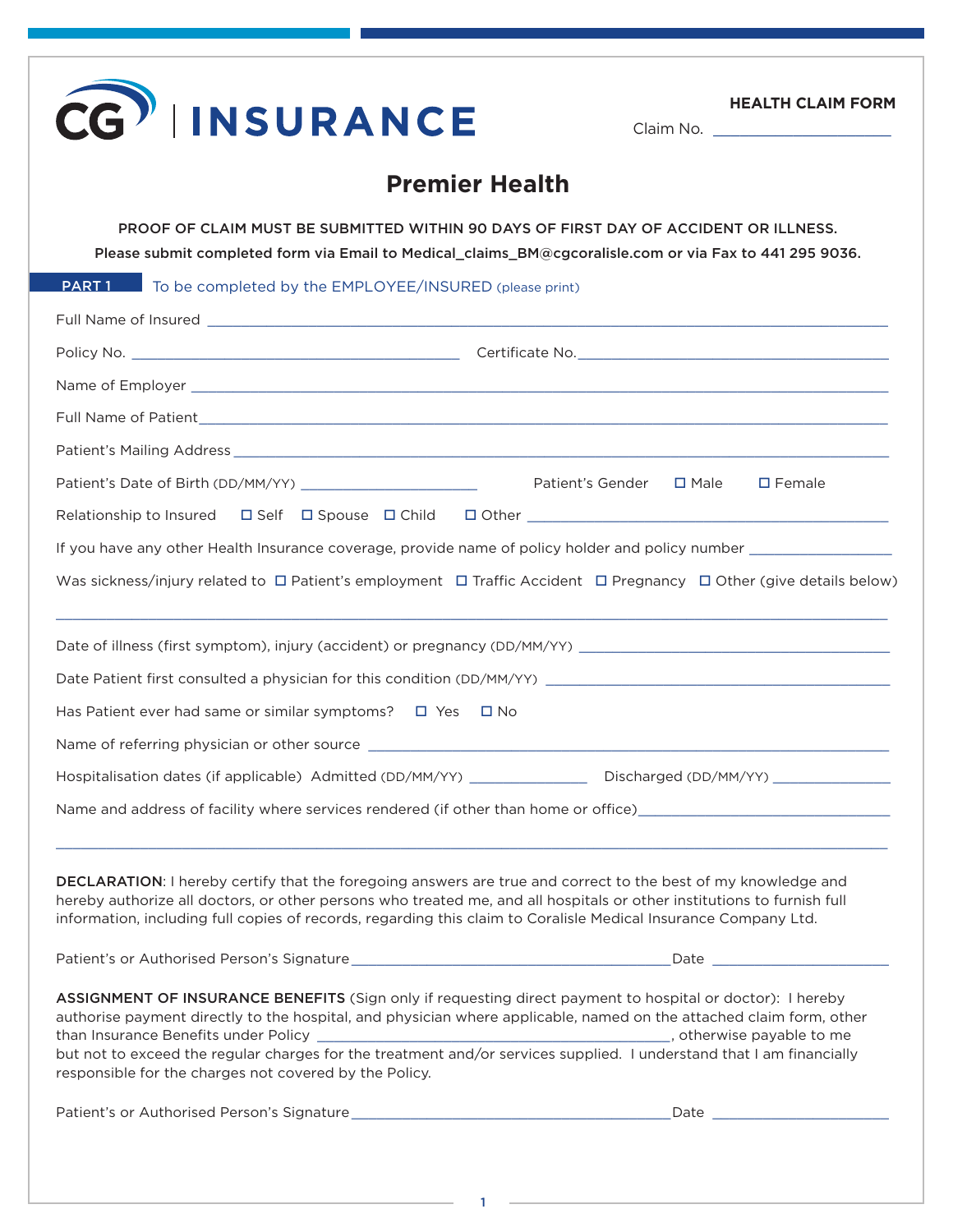| <b>INSURANCE</b>                                                                                                                                                                                                                                                                                                                                                                                                   | <b>HEALTH CLAIM FORM</b><br>Claim No. _______________________                                                                                                                                                                    |
|--------------------------------------------------------------------------------------------------------------------------------------------------------------------------------------------------------------------------------------------------------------------------------------------------------------------------------------------------------------------------------------------------------------------|----------------------------------------------------------------------------------------------------------------------------------------------------------------------------------------------------------------------------------|
|                                                                                                                                                                                                                                                                                                                                                                                                                    | <b>Premier Health</b>                                                                                                                                                                                                            |
|                                                                                                                                                                                                                                                                                                                                                                                                                    | PROOF OF CLAIM MUST BE SUBMITTED WITHIN 90 DAYS OF FIRST DAY OF ACCIDENT OR ILLNESS.<br>Please submit completed form via Email to Medical_claims_BM@cgcoralisle.com or via Fax to 441 295 9036.                                  |
| PART 1<br>To be completed by the EMPLOYEE/INSURED (please print)                                                                                                                                                                                                                                                                                                                                                   |                                                                                                                                                                                                                                  |
|                                                                                                                                                                                                                                                                                                                                                                                                                    |                                                                                                                                                                                                                                  |
|                                                                                                                                                                                                                                                                                                                                                                                                                    |                                                                                                                                                                                                                                  |
|                                                                                                                                                                                                                                                                                                                                                                                                                    |                                                                                                                                                                                                                                  |
|                                                                                                                                                                                                                                                                                                                                                                                                                    |                                                                                                                                                                                                                                  |
|                                                                                                                                                                                                                                                                                                                                                                                                                    |                                                                                                                                                                                                                                  |
|                                                                                                                                                                                                                                                                                                                                                                                                                    | $\square$ Female                                                                                                                                                                                                                 |
|                                                                                                                                                                                                                                                                                                                                                                                                                    |                                                                                                                                                                                                                                  |
|                                                                                                                                                                                                                                                                                                                                                                                                                    |                                                                                                                                                                                                                                  |
|                                                                                                                                                                                                                                                                                                                                                                                                                    | If you have any other Health Insurance coverage, provide name of policy holder and policy number _____________                                                                                                                   |
|                                                                                                                                                                                                                                                                                                                                                                                                                    | Was sickness/injury related to $\Box$ Patient's employment $\Box$ Traffic Accident $\Box$ Pregnancy $\Box$ Other (give details below)                                                                                            |
|                                                                                                                                                                                                                                                                                                                                                                                                                    |                                                                                                                                                                                                                                  |
|                                                                                                                                                                                                                                                                                                                                                                                                                    |                                                                                                                                                                                                                                  |
|                                                                                                                                                                                                                                                                                                                                                                                                                    |                                                                                                                                                                                                                                  |
|                                                                                                                                                                                                                                                                                                                                                                                                                    |                                                                                                                                                                                                                                  |
|                                                                                                                                                                                                                                                                                                                                                                                                                    |                                                                                                                                                                                                                                  |
| Has Patient ever had same or similar symptoms? $\Box$ Yes $\Box$ No<br>Name of referring physician or other source                                                                                                                                                                                                                                                                                                 |                                                                                                                                                                                                                                  |
| DECLARATION: I hereby certify that the foregoing answers are true and correct to the best of my knowledge and<br>hereby authorize all doctors, or other persons who treated me, and all hospitals or other institutions to furnish full<br>information, including full copies of records, regarding this claim to Coralisle Medical Insurance Company Ltd.                                                         | Hospitalisation dates (if applicable) Admitted (DD/MM/YY) _________________ Discharged (DD/MM/YY) ____________<br>Name and address of facility where services rendered (if other than home or office) __________________________ |
|                                                                                                                                                                                                                                                                                                                                                                                                                    |                                                                                                                                                                                                                                  |
| ASSIGNMENT OF INSURANCE BENEFITS (Sign only if requesting direct payment to hospital or doctor): I hereby<br>authorise payment directly to the hospital, and physician where applicable, named on the attached claim form, other<br>but not to exceed the regular charges for the treatment and/or services supplied. I understand that I am financially<br>responsible for the charges not covered by the Policy. |                                                                                                                                                                                                                                  |

1